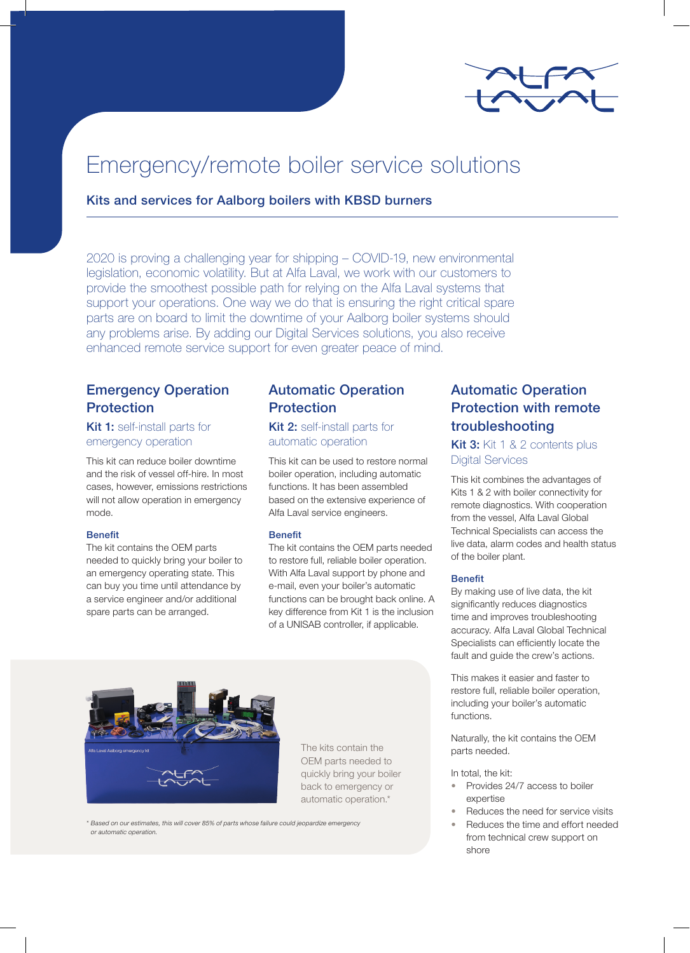

# Emergency/remote boiler service solutions

## Kits and services for Aalborg boilers with KBSD burners

2020 is proving a challenging year for shipping – COVID-19, new environmental legislation, economic volatility. But at Alfa Laval, we work with our customers to provide the smoothest possible path for relying on the Alfa Laval systems that support your operations. One way we do that is ensuring the right critical spare parts are on board to limit the downtime of your Aalborg boiler systems should any problems arise. By adding our Digital Services solutions, you also receive enhanced remote service support for even greater peace of mind.

# Emergency Operation Protection

## Kit 1: self-install parts for emergency operation

This kit can reduce boiler downtime and the risk of vessel off-hire. In most cases, however, emissions restrictions will not allow operation in emergency mode.

## Benefit

The kit contains the OEM parts needed to quickly bring your boiler to an emergency operating state. This can buy you time until attendance by a service engineer and/or additional spare parts can be arranged.

## Automatic Operation **Protection**

Kit 2: self-install parts for automatic operation

This kit can be used to restore normal boiler operation, including automatic functions. It has been assembled based on the extensive experience of Alfa Laval service engineers.

### Benefit

The kit contains the OEM parts needed to restore full, reliable boiler operation. With Alfa Laval support by phone and e-mail, even your boiler's automatic functions can be brought back online. A key difference from Kit 1 is the inclusion of a UNISAB controller, if applicable.



The kits contain the OEM parts needed to quickly bring your boiler back to emergency or automatic operation.\*

*\* Based on our estimates, this will cover 85% of parts whose failure could jeopardize emergency or automatic operation.* 

# Automatic Operation Protection with remote troubleshooting

Kit 3: Kit 1 & 2 contents plus Digital Services

This kit combines the advantages of Kits 1 & 2 with boiler connectivity for remote diagnostics. With cooperation from the vessel, Alfa Laval Global Technical Specialists can access the live data, alarm codes and health status of the boiler plant.

### Benefit

By making use of live data, the kit significantly reduces diagnostics time and improves troubleshooting accuracy. Alfa Laval Global Technical Specialists can efficiently locate the fault and guide the crew's actions.

This makes it easier and faster to restore full, reliable boiler operation, including your boiler's automatic functions.

Naturally, the kit contains the OEM parts needed.

In total, the kit:

- Provides 24/7 access to boiler expertise
- Reduces the need for service visits
- Reduces the time and effort needed from technical crew support on shore